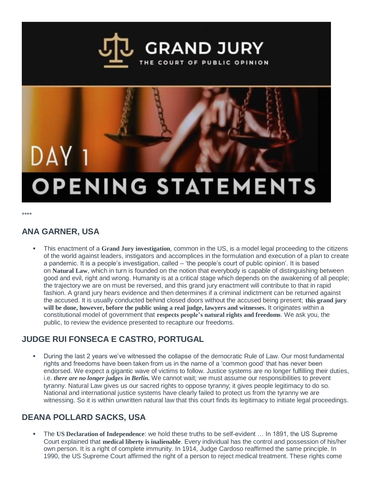

# DAY 1 **OPENING STATEMENTS**

\*\*\*\*

## **ANA GARNER, USA**

 This enactment of a **Grand Jury investigation**, common in the US, is a model legal proceeding to the citizens of the world against leaders, instigators and accomplices in the formulation and execution of a plan to create a pandemic. It is a people's investigation, called – 'the people's court of public opinion'. It is based on **Natural Law**, which in turn is founded on the notion that everybody is capable of distinguishing between good and evil, right and wrong. Humanity is at a critical stage which depends on the awakening of all people; the trajectory we are on must be reversed, and this grand jury enactment will contribute to that in rapid fashion. A grand jury hears evidence and then determines if a criminal indictment can be returned against the accused. It is usually conducted behind closed doors without the accused being present; **this grand jury will be done, however, before the public using a real judge, lawyers and witnesses.** It originates within a constitutional model of government that **respects people's natural rights and freedoms**. We ask you, the public, to review the evidence presented to recapture our freedoms.

## **JUDGE RUI FONSECA E CASTRO, PORTUGAL**

 During the last 2 years we've witnessed the collapse of the democratic Rule of Law. Our most fundamental rights and freedoms have been taken from us in the name of a 'common good' that has never been endorsed. We expect a gigantic wave of victims to follow. Justice systems are no longer fulfilling their duties, i.e. *there are no longer judges in Berlin.* We cannot wait; we must assume our responsibilities to prevent tyranny. Natural Law gives us our sacred rights to oppose tyranny; it gives people legitimacy to do so. National and international justice systems have clearly failed to protect us from the tyranny we are witnessing. So it is within unwritten natural law that this court finds its legitimacy to initiate legal proceedings.

## **DEANA POLLARD SACKS, USA**

 The **US Declaration of Independence**: we hold these truths to be self-evident … In 1891, the US Supreme Court explained that **medical liberty is inalienable**. Every individual has the control and possession of his/her own person. It is a right of complete immunity. In 1914, Judge Cardoso reaffirmed the same principle. In 1990, the US Supreme Court affirmed the right of a person to reject medical treatment. These rights come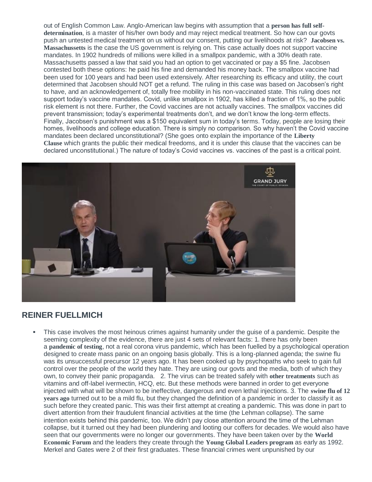out of English Common Law. Anglo-American law begins with assumption that a **person has full selfdetermination**, is a master of his/her own body and may reject medical treatment. So how can our govts push an untested medical treatment on us without our consent, putting our livelihoods at risk? **Jacobsen vs. Massachussetts** is the case the US government is relying on. This case actually does not support vaccine mandates. In 1902 hundreds of millions were killed in a smallpox pandemic, with a 30% death rate. Massachusetts passed a law that said you had an option to get vaccinated or pay a \$5 fine. Jacobsen contested both these options: he paid his fine and demanded his money back. The smallpox vaccine had been used for 100 years and had been used extensively. After researching its efficacy and utility, the court determined that Jacobsen should NOT get a refund. The ruling in this case was based on Jacobsen's right to have, and an acknowledgement of, totally free mobility in his non-vaccinated state. This ruling does not support today's vaccine mandates. Covid, unlike smallpox in 1902, has killed a fraction of 1%, so the public risk element is not there. Further, the Covid vaccines are not actually vaccines. The smallpox vaccines did prevent transmission; today's experimental treatments don't, and we don't know the long-term effects. Finally, Jacobsen's punishment was a \$150 equivalent sum in today's terms. Today, people are losing their homes, livelihoods and college education. There is simply no comparison. So why haven't the Covid vaccine mandates been declared unconstitutional? (She goes onto explain the importance of the **Liberty Clause** which grants the public their medical freedoms, and it is under this clause that the vaccines can be declared unconstitutional.) The nature of today's Covid vaccines vs. vaccines of the past is a critical point.



#### **REINER FUELLMICH**

 This case involves the most heinous crimes against humanity under the guise of a pandemic. Despite the seeming complexity of the evidence, there are just 4 sets of relevant facts: 1. there has only been a **pandemic of testing**, not a real corona virus pandemic, which has been fuelled by a psychological operation designed to create mass panic on an ongoing basis globally. This is a long-planned agenda; the swine flu was its unsuccessful precursor 12 years ago. It has been cooked up by psychopaths who seek to gain full control over the people of the world they hate. They are using our govts and the media, both of which they own, to convey their panic propaganda. 2. The virus can be treated safely with **other treatments** such as vitamins and off-label ivermectin, HCQ, etc. But these methods were banned in order to get everyone injected with what will be shown to be ineffective, dangerous and even lethal injections. 3. The **swine flu of 12 years ago** turned out to be a mild flu, but they changed the definition of a pandemic in order to classify it as such before they created panic. This was their first attempt at creating a pandemic. This was done in part to divert attention from their fraudulent financial activities at the time (the Lehman collapse). The same intention exists behind this pandemic, too. We didn't pay close attention around the time of the Lehman collapse, but it turned out they had been plundering and looting our coffers for decades. We would also have seen that our governments were no longer our governments. They have been taken over by the **World Economic Forum** and the leaders they create through the **Young Global Leaders program** as early as 1992. Merkel and Gates were 2 of their first graduates. These financial crimes went unpunished by our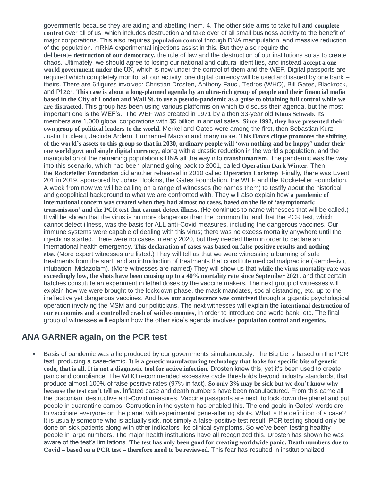governments because they are aiding and abetting them. 4. The other side aims to take full and **complete control** over all of us, which includes destruction and take over of all small business activity to the benefit of major corporations. This also requires **population control** through DNA manipulation, and massive reduction of the population. mRNA experimental injections assist in this. But they also require the deliberate **destruction of our democracy,** the rule of law and the destruction of our institutions so as to create chaos. Ultimately, we should agree to losing our national and cultural identities, and instead **accept a one world government under the UN**, which is now under the control of them and the WEF. Digital passports are required which completely monitor all our activity; one digital currency will be used and issued by one bank – theirs. There are 6 figures involved: Christian Drosten, Anthony Fauci, Tedros (WHO), Bill Gates, Blackrock, and Pfizer. This case is about a long-planned agenda by an ultra-rich group of people and their financial mafia based in the City of London and Wall St. to use a pseudo-pandemic as a guise to obtaining full control while we **are distracted.** This group has been using various platforms on which to discuss their agenda, but the most important one is the WEF's. The WEF was created in 1971 by a then 33-year old **Klaus Schwab**. Its members are 1,000 global corporations with \$5 billion in annual sales. **Since 1992, they have presented their own group of political leaders to the world.** Merkel and Gates were among the first, then Sebastian Kurz, Justin Trudeau, Jacinda Ardern, Emmanuel Macron and many more. **This Davos clique promotes the shifting** of the world's assets to this group so that in 2030, ordinary people will 'own nothing and be happy' under their **one world govt and single digital currency,** along with a drastic reduction in the world's population, and the manipulation of the remaining population's DNA all the way into **transhumanism**. The pandemic was the way into this scenario, which had been planned going back to 2001, called **Operation Dark Winter**. Then the **Rockefeller Foundation** did another rehearsal in 2010 called **Operation Lockstep**. Finally, there was Event 201 in 2019, sponsored by Johns Hopkins, the Gates Foundation, the WEF and the Rockefeller Foundation. A week from now we will be calling on a range of witnesses (he names them) to testify about the historical and geopolitical background to what we are confronted with. They will also explain how **a pandemic of international concern was created when they had almost no cases, based on the lie of 'asymptomatic transmission' and the PCR test that cannot detect illness.** (He continues to name witnesses that will be called.) It will be shown that the virus is no more dangerous than the common flu, and that the PCR test, which cannot detect illness, was the basis for ALL anti-Covid measures, including the dangerous vaccines. Our immune systems were capable of dealing with this virus; there was no excess mortality anywhere until the injections started. There were no cases in early 2020, but they needed them in order to declare an international health emergency. **This declaration of cases was based on false positive results and nothing else.** (More expert witnesses are listed.) They will tell us that we were witnessing a banning of safe treatments from the start, and an introduction of treatments that constitute medical malpractice (Remdesivir, intubation, Midazolam). (More witnesses are named) They will show us that **while the virus mortality rate was exceedingly low, the shots have been causing up to a 40% mortality rate since September 2021,** and that certain batches constitute an experiment in lethal doses by the vaccine makers. The next group of witnesses will explain how we were brought to the lockdown phase, the mask mandates, social distancing, etc. up to the ineffective yet dangerous vaccines. And how **our acquiescence was contrived** through a gigantic psychological operation involving the MSM and our politicians. The next witnesses will explain the **intentional destruction of our economies and a controlled crash of said economies**, in order to introduce one world bank, etc. The final group of witnesses will explain how the other side's agenda involves **population control and eugenics.**

#### **ANA GARNER again, on the PCR test**

 Basis of pandemic was a lie produced by our governments simultaneously. The Big Lie is based on the PCR test, producing a case-demic. **It is a genetic manufacturing technology that looks for specific bits of genetic code, that is all. It is not a diagnostic tool for active infection.** Drosten knew this, yet it's been used to create panic and compliance. The WHO recommended excessive cycle thresholds beyond industry standards, that produce almost 100% of false positive rates (97% in fact). **So only 3% may be sick but we don't know why because the test can't tell us.** Inflated case and death numbers have been manufactured. From this came all the draconian, destructive anti-Covid measures. Vaccine passports are next, to lock down the planet and put people in quarantine camps. Corruption in the system has enabled this. The end goals in Gates' words are to vaccinate everyone on the planet with experimental gene-altering shots. What is the definition of a case? It is usually someone who is actually sick, not simply a false-positive test result. PCR testing should only be done on sick patients along with other indicators like clinical symptoms. So we've been testing healthy people in large numbers. The major health institutions have all recognized this. Drosten has shown he was aware of the test's limitations. **The test has only been good for creating worldwide panic. Death numbers due to Covid – based on a PCR test – therefore need to be reviewed.** This fear has resulted in institutionalized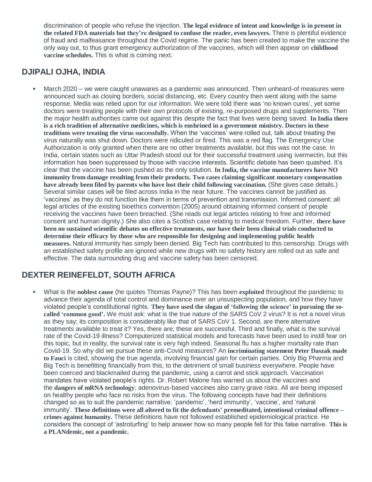discrimination of people who refuse the injection. **The legal evidence of intent and knowledge is in present in the related FDA materials but they're designed to confuse the reader, even lawyers.** There is plentiful evidence of fraud and malfeasance throughout the Covid regime. The panic has been created to make the vaccine the only way out, to thus grant emergency authorization of the vaccines, which will then appear on **childhood vaccine schedules.** This is what is coming next.

### **DJIPALI OJHA, INDIA**

 March 2020 – we were caught unawares as a pandemic was announced. Then unheard-of measures were announced such as closing borders, social distancing, etc. Every country then went along with the same response. Media was relied upon for our information. We were told there was 'no known cures', yet some doctors were treating people with their own protocols of existing, re-purposed drugs and supplements. Then the major health authorities came out against this despite the fact that lives were being saved. **In India there** is a rich tradition of alternative medicines, which is enshrined in a government ministry. Doctors in these **traditions were treating the virus successfully.** When the 'vaccines' were rolled out, talk about treating the virus naturally was shut down. Doctors were ridiculed or fired. This was a red flag. The Emergency Use Authorization is only granted when there are no other treatments available, but this was not the case. In India, certain states such as Uttar Pradesh stood out for their successful treatment using ivermectin, but this information has been suppressed by those with vaccine interests. Scientific debate has been quashed. It's clear that the vaccine has been pushed as the only solution. **In India, the vaccine manufacturers have NO immunity from damage resulting from their products. Two cases claiming significant monetary compensation have already been filed by parents who have lost their child following vaccination.** (She gives case details.) Several similar cases will be filed across India in the near future. The vaccines cannot be justified as 'vaccines' as they do not function like them in terms of prevention and transmission. Informed consent: all legal articles of the existing bioethics convention (2005) around obtaining informed consent of people receiving the vaccines have been breached. (She reads out legal articles relating to free and informed consent and human dignity.) She also cites a Scottish case relating to medical freedom. Further, **there have been no sustained scientific debates on effective treatments, nor have their been clinical trials conducted to determine their efficacy by those who are responsible for designing and implementing public health measures.** Natural immunity has simply been denied. Big Tech has contributed to this censorship. Drugs with an established safety profile are ignored while new drugs with no safety history are rolled out as safe and effective. The data surrounding drug and vaccine safety has been censored.

## **DEXTER REINEFELDT, SOUTH AFRICA**

 What is the **noblest cause** (he quotes Thomas Payne)? This has been **exploited** throughout the pandemic to advance their agenda of total control and dominance over an unsuspecting population, and how they have violated people's constitutional rights. **They have used the slogan of 'following the science' in pursuing the socalled 'common good'.** We must ask: what is the true nature of the SARS CoV 2 virus? It is not a novel virus as they say; its composition is considerably like that of SARS CoV 1. Second, are there alternative treatments available to treat it? Yes, there are; these are successful. Third and finally, what is the survival rate of the Covid-19 illness? Computerized statistical models and forecasts have been used to instill fear on this topic, but in reality, the survival rate is very high indeed. Seasonal flu has a higher mortality rate than Covid-19. So why did we pursue these anti-Covid measures? An **incriminating statement Peter Daszak made to Fauci** is cited, showing the true agenda, involving financial gain for certain parties. Only Big Pharma and Big Tech is benefitting financially from this, to the detriment of small business everywhere. People have been coerced and blackmailed during the pandemic, using a carrot and stick approach. Vaccination mandates have violated people's rights. Dr. Robert Malone has warned us about the vaccines and the **dangers of mRNA technology**; adenovirus-based vaccines also carry grave risks. All are being imposed on healthy people who face no risks from the virus. The following concepts have had their definitions changed so as to suit the pandemic narrative: 'pandemic', 'herd immunity', 'vaccine', and 'natural immunity'. **These definitions were all altered to fit the defendants' premeditated, intentional criminal offence – crimes against humanity.** These definitions have not followed established epidemiological practice. He considers the concept of 'astroturfing' to help answer how so many people fell for this false narrative. **This is a PLANdemic, not a pandemic.**